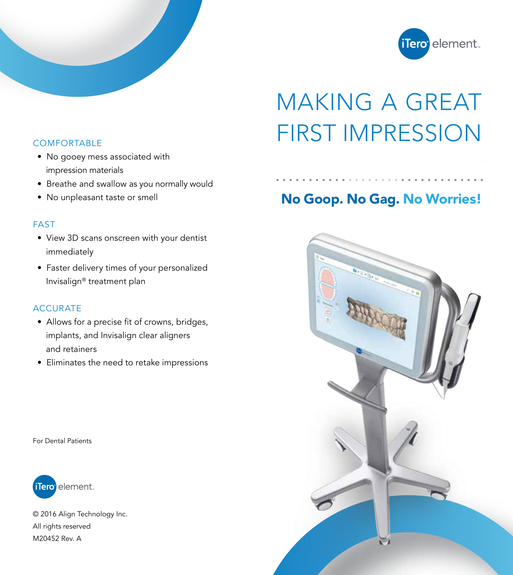

# MAKING A GREAT COMFORTABLE FIRST IMPRESSION

## No Goop. No Gag. No Worries!



- No gooey mess associated with impression materials
- Breathe and swallow as you normally would
- No unpleasant taste or smell

#### FAST

- View 3D scans onscreen with your dentist immediately
- Faster delivery times of your personalized Invisalign® treatment plan

#### ACCURATE

- Allows for a precise fit of crowns, bridges, implants, and Invisalign clear aligners and retainers
- Eliminates the need to retake impressions

For Dental Patients



© 2016 Align Technology Inc. All rights reserved M20452 Rev. A